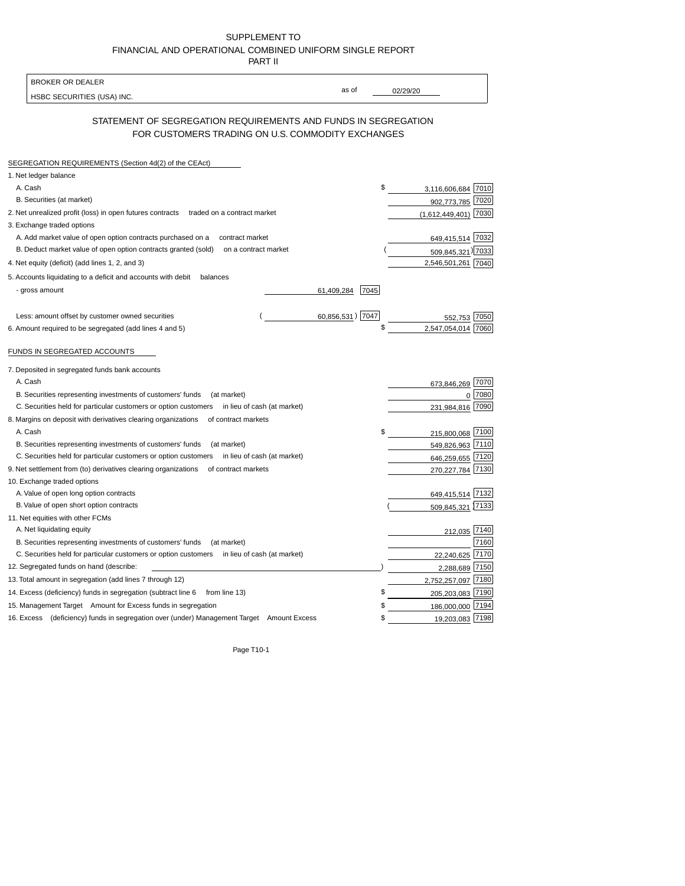SUPPLEMENT TO FINANCIAL AND OPERATIONAL COMBINED UNIFORM SINGLE REPORT PART II

| as of<br>02/29/20<br>HSBC SECURITIES (USA) INC.<br>STATEMENT OF SEGREGATION REQUIREMENTS AND FUNDS IN SEGREGATION<br>FOR CUSTOMERS TRADING ON U.S. COMMODITY EXCHANGES<br>SEGREGATION REQUIREMENTS (Section 4d(2) of the CEAct)<br>1. Net ledger balance<br>\$<br>A. Cash<br>B. Securities (at market)<br>902,773,785<br>2. Net unrealized profit (loss) in open futures contracts<br>traded on a contract market<br>(1,612,449,401)<br>3. Exchange traded options<br>A. Add market value of open option contracts purchased on a<br>649,415,514 7032<br>contract market<br>B. Deduct market value of open option contracts granted (sold)<br>on a contract market<br>509,845,321) 7033<br>2,546,501,261 7040<br>4. Net equity (deficit) (add lines 1, 2, and 3)<br>5. Accounts liquidating to a deficit and accounts with debit<br>balances<br>- gross amount<br>61,409,284<br>7045<br>60,856,531) 7047<br>Less: amount offset by customer owned securities<br>7050<br>\$<br>2.547.054.014<br>6. Amount required to be segregated (add lines 4 and 5)<br>FUNDS IN SEGREGATED ACCOUNTS<br>7. Deposited in segregated funds bank accounts<br>A. Cash<br>673,846,269<br>B. Securities representing investments of customers' funds<br>(at market)<br>$\Omega$<br>C. Securities held for particular customers or option customers<br>in lieu of cash (at market)<br>231.984.816<br>8. Margins on deposit with derivatives clearing organizations<br>of contract markets<br>A. Cash<br>215,800,068<br>B. Securities representing investments of customers' funds<br>(at market)<br>549,826,963<br>C. Securities held for particular customers or option customers<br>in lieu of cash (at market)<br>646,259,655<br>9. Net settlement from (to) derivatives clearing organizations<br>of contract markets<br>270,227,784<br>10. Exchange traded options<br>A. Value of open long option contracts<br>B. Value of open short option contracts<br>11. Net equities with other FCMs<br>A. Net liquidating equity<br>B. Securities representing investments of customers' funds<br>(at market)<br>C. Securities held for particular customers or option customers<br>in lieu of cash (at market)<br>22,240,625<br>12. Segregated funds on hand (describe:<br>2,288,689<br>13. Total amount in segregation (add lines 7 through 12)<br>\$<br>14. Excess (deficiency) funds in segregation (subtract line 6 from line 13)<br>15. Management Target Amount for Excess funds in segregation<br>\$<br>186,000,000<br>16. Excess (deficiency) funds in segregation over (under) Management Target Amount Excess<br>\$ | <b>BROKER OR DEALER</b> |                    |
|--------------------------------------------------------------------------------------------------------------------------------------------------------------------------------------------------------------------------------------------------------------------------------------------------------------------------------------------------------------------------------------------------------------------------------------------------------------------------------------------------------------------------------------------------------------------------------------------------------------------------------------------------------------------------------------------------------------------------------------------------------------------------------------------------------------------------------------------------------------------------------------------------------------------------------------------------------------------------------------------------------------------------------------------------------------------------------------------------------------------------------------------------------------------------------------------------------------------------------------------------------------------------------------------------------------------------------------------------------------------------------------------------------------------------------------------------------------------------------------------------------------------------------------------------------------------------------------------------------------------------------------------------------------------------------------------------------------------------------------------------------------------------------------------------------------------------------------------------------------------------------------------------------------------------------------------------------------------------------------------------------------------------------------------------------------------------------------------------------------------------------------------------------------------------------------------------------------------------------------------------------------------------------------------------------------------------------------------------------------------------------------------------------------------------------------------------------------------------------------------------------------------------------------------------------------------------------------------------------|-------------------------|--------------------|
|                                                                                                                                                                                                                                                                                                                                                                                                                                                                                                                                                                                                                                                                                                                                                                                                                                                                                                                                                                                                                                                                                                                                                                                                                                                                                                                                                                                                                                                                                                                                                                                                                                                                                                                                                                                                                                                                                                                                                                                                                                                                                                                                                                                                                                                                                                                                                                                                                                                                                                                                                                                                        |                         |                    |
|                                                                                                                                                                                                                                                                                                                                                                                                                                                                                                                                                                                                                                                                                                                                                                                                                                                                                                                                                                                                                                                                                                                                                                                                                                                                                                                                                                                                                                                                                                                                                                                                                                                                                                                                                                                                                                                                                                                                                                                                                                                                                                                                                                                                                                                                                                                                                                                                                                                                                                                                                                                                        |                         |                    |
|                                                                                                                                                                                                                                                                                                                                                                                                                                                                                                                                                                                                                                                                                                                                                                                                                                                                                                                                                                                                                                                                                                                                                                                                                                                                                                                                                                                                                                                                                                                                                                                                                                                                                                                                                                                                                                                                                                                                                                                                                                                                                                                                                                                                                                                                                                                                                                                                                                                                                                                                                                                                        |                         |                    |
|                                                                                                                                                                                                                                                                                                                                                                                                                                                                                                                                                                                                                                                                                                                                                                                                                                                                                                                                                                                                                                                                                                                                                                                                                                                                                                                                                                                                                                                                                                                                                                                                                                                                                                                                                                                                                                                                                                                                                                                                                                                                                                                                                                                                                                                                                                                                                                                                                                                                                                                                                                                                        |                         |                    |
|                                                                                                                                                                                                                                                                                                                                                                                                                                                                                                                                                                                                                                                                                                                                                                                                                                                                                                                                                                                                                                                                                                                                                                                                                                                                                                                                                                                                                                                                                                                                                                                                                                                                                                                                                                                                                                                                                                                                                                                                                                                                                                                                                                                                                                                                                                                                                                                                                                                                                                                                                                                                        |                         |                    |
|                                                                                                                                                                                                                                                                                                                                                                                                                                                                                                                                                                                                                                                                                                                                                                                                                                                                                                                                                                                                                                                                                                                                                                                                                                                                                                                                                                                                                                                                                                                                                                                                                                                                                                                                                                                                                                                                                                                                                                                                                                                                                                                                                                                                                                                                                                                                                                                                                                                                                                                                                                                                        |                         | 3,116,606,684 7010 |
|                                                                                                                                                                                                                                                                                                                                                                                                                                                                                                                                                                                                                                                                                                                                                                                                                                                                                                                                                                                                                                                                                                                                                                                                                                                                                                                                                                                                                                                                                                                                                                                                                                                                                                                                                                                                                                                                                                                                                                                                                                                                                                                                                                                                                                                                                                                                                                                                                                                                                                                                                                                                        |                         | 7020               |
|                                                                                                                                                                                                                                                                                                                                                                                                                                                                                                                                                                                                                                                                                                                                                                                                                                                                                                                                                                                                                                                                                                                                                                                                                                                                                                                                                                                                                                                                                                                                                                                                                                                                                                                                                                                                                                                                                                                                                                                                                                                                                                                                                                                                                                                                                                                                                                                                                                                                                                                                                                                                        |                         | 7030               |
|                                                                                                                                                                                                                                                                                                                                                                                                                                                                                                                                                                                                                                                                                                                                                                                                                                                                                                                                                                                                                                                                                                                                                                                                                                                                                                                                                                                                                                                                                                                                                                                                                                                                                                                                                                                                                                                                                                                                                                                                                                                                                                                                                                                                                                                                                                                                                                                                                                                                                                                                                                                                        |                         |                    |
|                                                                                                                                                                                                                                                                                                                                                                                                                                                                                                                                                                                                                                                                                                                                                                                                                                                                                                                                                                                                                                                                                                                                                                                                                                                                                                                                                                                                                                                                                                                                                                                                                                                                                                                                                                                                                                                                                                                                                                                                                                                                                                                                                                                                                                                                                                                                                                                                                                                                                                                                                                                                        |                         |                    |
|                                                                                                                                                                                                                                                                                                                                                                                                                                                                                                                                                                                                                                                                                                                                                                                                                                                                                                                                                                                                                                                                                                                                                                                                                                                                                                                                                                                                                                                                                                                                                                                                                                                                                                                                                                                                                                                                                                                                                                                                                                                                                                                                                                                                                                                                                                                                                                                                                                                                                                                                                                                                        |                         |                    |
|                                                                                                                                                                                                                                                                                                                                                                                                                                                                                                                                                                                                                                                                                                                                                                                                                                                                                                                                                                                                                                                                                                                                                                                                                                                                                                                                                                                                                                                                                                                                                                                                                                                                                                                                                                                                                                                                                                                                                                                                                                                                                                                                                                                                                                                                                                                                                                                                                                                                                                                                                                                                        |                         |                    |
|                                                                                                                                                                                                                                                                                                                                                                                                                                                                                                                                                                                                                                                                                                                                                                                                                                                                                                                                                                                                                                                                                                                                                                                                                                                                                                                                                                                                                                                                                                                                                                                                                                                                                                                                                                                                                                                                                                                                                                                                                                                                                                                                                                                                                                                                                                                                                                                                                                                                                                                                                                                                        |                         |                    |
|                                                                                                                                                                                                                                                                                                                                                                                                                                                                                                                                                                                                                                                                                                                                                                                                                                                                                                                                                                                                                                                                                                                                                                                                                                                                                                                                                                                                                                                                                                                                                                                                                                                                                                                                                                                                                                                                                                                                                                                                                                                                                                                                                                                                                                                                                                                                                                                                                                                                                                                                                                                                        |                         |                    |
|                                                                                                                                                                                                                                                                                                                                                                                                                                                                                                                                                                                                                                                                                                                                                                                                                                                                                                                                                                                                                                                                                                                                                                                                                                                                                                                                                                                                                                                                                                                                                                                                                                                                                                                                                                                                                                                                                                                                                                                                                                                                                                                                                                                                                                                                                                                                                                                                                                                                                                                                                                                                        |                         |                    |
|                                                                                                                                                                                                                                                                                                                                                                                                                                                                                                                                                                                                                                                                                                                                                                                                                                                                                                                                                                                                                                                                                                                                                                                                                                                                                                                                                                                                                                                                                                                                                                                                                                                                                                                                                                                                                                                                                                                                                                                                                                                                                                                                                                                                                                                                                                                                                                                                                                                                                                                                                                                                        |                         |                    |
|                                                                                                                                                                                                                                                                                                                                                                                                                                                                                                                                                                                                                                                                                                                                                                                                                                                                                                                                                                                                                                                                                                                                                                                                                                                                                                                                                                                                                                                                                                                                                                                                                                                                                                                                                                                                                                                                                                                                                                                                                                                                                                                                                                                                                                                                                                                                                                                                                                                                                                                                                                                                        |                         |                    |
|                                                                                                                                                                                                                                                                                                                                                                                                                                                                                                                                                                                                                                                                                                                                                                                                                                                                                                                                                                                                                                                                                                                                                                                                                                                                                                                                                                                                                                                                                                                                                                                                                                                                                                                                                                                                                                                                                                                                                                                                                                                                                                                                                                                                                                                                                                                                                                                                                                                                                                                                                                                                        |                         |                    |
|                                                                                                                                                                                                                                                                                                                                                                                                                                                                                                                                                                                                                                                                                                                                                                                                                                                                                                                                                                                                                                                                                                                                                                                                                                                                                                                                                                                                                                                                                                                                                                                                                                                                                                                                                                                                                                                                                                                                                                                                                                                                                                                                                                                                                                                                                                                                                                                                                                                                                                                                                                                                        |                         |                    |
|                                                                                                                                                                                                                                                                                                                                                                                                                                                                                                                                                                                                                                                                                                                                                                                                                                                                                                                                                                                                                                                                                                                                                                                                                                                                                                                                                                                                                                                                                                                                                                                                                                                                                                                                                                                                                                                                                                                                                                                                                                                                                                                                                                                                                                                                                                                                                                                                                                                                                                                                                                                                        |                         |                    |
|                                                                                                                                                                                                                                                                                                                                                                                                                                                                                                                                                                                                                                                                                                                                                                                                                                                                                                                                                                                                                                                                                                                                                                                                                                                                                                                                                                                                                                                                                                                                                                                                                                                                                                                                                                                                                                                                                                                                                                                                                                                                                                                                                                                                                                                                                                                                                                                                                                                                                                                                                                                                        |                         |                    |
|                                                                                                                                                                                                                                                                                                                                                                                                                                                                                                                                                                                                                                                                                                                                                                                                                                                                                                                                                                                                                                                                                                                                                                                                                                                                                                                                                                                                                                                                                                                                                                                                                                                                                                                                                                                                                                                                                                                                                                                                                                                                                                                                                                                                                                                                                                                                                                                                                                                                                                                                                                                                        |                         | 7070               |
|                                                                                                                                                                                                                                                                                                                                                                                                                                                                                                                                                                                                                                                                                                                                                                                                                                                                                                                                                                                                                                                                                                                                                                                                                                                                                                                                                                                                                                                                                                                                                                                                                                                                                                                                                                                                                                                                                                                                                                                                                                                                                                                                                                                                                                                                                                                                                                                                                                                                                                                                                                                                        |                         | 7080               |
|                                                                                                                                                                                                                                                                                                                                                                                                                                                                                                                                                                                                                                                                                                                                                                                                                                                                                                                                                                                                                                                                                                                                                                                                                                                                                                                                                                                                                                                                                                                                                                                                                                                                                                                                                                                                                                                                                                                                                                                                                                                                                                                                                                                                                                                                                                                                                                                                                                                                                                                                                                                                        |                         | 7090               |
|                                                                                                                                                                                                                                                                                                                                                                                                                                                                                                                                                                                                                                                                                                                                                                                                                                                                                                                                                                                                                                                                                                                                                                                                                                                                                                                                                                                                                                                                                                                                                                                                                                                                                                                                                                                                                                                                                                                                                                                                                                                                                                                                                                                                                                                                                                                                                                                                                                                                                                                                                                                                        |                         |                    |
|                                                                                                                                                                                                                                                                                                                                                                                                                                                                                                                                                                                                                                                                                                                                                                                                                                                                                                                                                                                                                                                                                                                                                                                                                                                                                                                                                                                                                                                                                                                                                                                                                                                                                                                                                                                                                                                                                                                                                                                                                                                                                                                                                                                                                                                                                                                                                                                                                                                                                                                                                                                                        |                         | 7100               |
|                                                                                                                                                                                                                                                                                                                                                                                                                                                                                                                                                                                                                                                                                                                                                                                                                                                                                                                                                                                                                                                                                                                                                                                                                                                                                                                                                                                                                                                                                                                                                                                                                                                                                                                                                                                                                                                                                                                                                                                                                                                                                                                                                                                                                                                                                                                                                                                                                                                                                                                                                                                                        |                         | 7110               |
|                                                                                                                                                                                                                                                                                                                                                                                                                                                                                                                                                                                                                                                                                                                                                                                                                                                                                                                                                                                                                                                                                                                                                                                                                                                                                                                                                                                                                                                                                                                                                                                                                                                                                                                                                                                                                                                                                                                                                                                                                                                                                                                                                                                                                                                                                                                                                                                                                                                                                                                                                                                                        |                         | 7120               |
|                                                                                                                                                                                                                                                                                                                                                                                                                                                                                                                                                                                                                                                                                                                                                                                                                                                                                                                                                                                                                                                                                                                                                                                                                                                                                                                                                                                                                                                                                                                                                                                                                                                                                                                                                                                                                                                                                                                                                                                                                                                                                                                                                                                                                                                                                                                                                                                                                                                                                                                                                                                                        |                         | 7130               |
|                                                                                                                                                                                                                                                                                                                                                                                                                                                                                                                                                                                                                                                                                                                                                                                                                                                                                                                                                                                                                                                                                                                                                                                                                                                                                                                                                                                                                                                                                                                                                                                                                                                                                                                                                                                                                                                                                                                                                                                                                                                                                                                                                                                                                                                                                                                                                                                                                                                                                                                                                                                                        |                         |                    |
|                                                                                                                                                                                                                                                                                                                                                                                                                                                                                                                                                                                                                                                                                                                                                                                                                                                                                                                                                                                                                                                                                                                                                                                                                                                                                                                                                                                                                                                                                                                                                                                                                                                                                                                                                                                                                                                                                                                                                                                                                                                                                                                                                                                                                                                                                                                                                                                                                                                                                                                                                                                                        |                         | 649,415,514 7132   |
|                                                                                                                                                                                                                                                                                                                                                                                                                                                                                                                                                                                                                                                                                                                                                                                                                                                                                                                                                                                                                                                                                                                                                                                                                                                                                                                                                                                                                                                                                                                                                                                                                                                                                                                                                                                                                                                                                                                                                                                                                                                                                                                                                                                                                                                                                                                                                                                                                                                                                                                                                                                                        |                         | 509,845,321 7133   |
|                                                                                                                                                                                                                                                                                                                                                                                                                                                                                                                                                                                                                                                                                                                                                                                                                                                                                                                                                                                                                                                                                                                                                                                                                                                                                                                                                                                                                                                                                                                                                                                                                                                                                                                                                                                                                                                                                                                                                                                                                                                                                                                                                                                                                                                                                                                                                                                                                                                                                                                                                                                                        |                         |                    |
|                                                                                                                                                                                                                                                                                                                                                                                                                                                                                                                                                                                                                                                                                                                                                                                                                                                                                                                                                                                                                                                                                                                                                                                                                                                                                                                                                                                                                                                                                                                                                                                                                                                                                                                                                                                                                                                                                                                                                                                                                                                                                                                                                                                                                                                                                                                                                                                                                                                                                                                                                                                                        |                         | 212,035 7140       |
|                                                                                                                                                                                                                                                                                                                                                                                                                                                                                                                                                                                                                                                                                                                                                                                                                                                                                                                                                                                                                                                                                                                                                                                                                                                                                                                                                                                                                                                                                                                                                                                                                                                                                                                                                                                                                                                                                                                                                                                                                                                                                                                                                                                                                                                                                                                                                                                                                                                                                                                                                                                                        |                         | 7160               |
|                                                                                                                                                                                                                                                                                                                                                                                                                                                                                                                                                                                                                                                                                                                                                                                                                                                                                                                                                                                                                                                                                                                                                                                                                                                                                                                                                                                                                                                                                                                                                                                                                                                                                                                                                                                                                                                                                                                                                                                                                                                                                                                                                                                                                                                                                                                                                                                                                                                                                                                                                                                                        |                         | 7170               |
|                                                                                                                                                                                                                                                                                                                                                                                                                                                                                                                                                                                                                                                                                                                                                                                                                                                                                                                                                                                                                                                                                                                                                                                                                                                                                                                                                                                                                                                                                                                                                                                                                                                                                                                                                                                                                                                                                                                                                                                                                                                                                                                                                                                                                                                                                                                                                                                                                                                                                                                                                                                                        |                         | 7150               |
|                                                                                                                                                                                                                                                                                                                                                                                                                                                                                                                                                                                                                                                                                                                                                                                                                                                                                                                                                                                                                                                                                                                                                                                                                                                                                                                                                                                                                                                                                                                                                                                                                                                                                                                                                                                                                                                                                                                                                                                                                                                                                                                                                                                                                                                                                                                                                                                                                                                                                                                                                                                                        |                         | 2,752,257,097 7180 |
|                                                                                                                                                                                                                                                                                                                                                                                                                                                                                                                                                                                                                                                                                                                                                                                                                                                                                                                                                                                                                                                                                                                                                                                                                                                                                                                                                                                                                                                                                                                                                                                                                                                                                                                                                                                                                                                                                                                                                                                                                                                                                                                                                                                                                                                                                                                                                                                                                                                                                                                                                                                                        |                         | 205,203,083 7190   |
|                                                                                                                                                                                                                                                                                                                                                                                                                                                                                                                                                                                                                                                                                                                                                                                                                                                                                                                                                                                                                                                                                                                                                                                                                                                                                                                                                                                                                                                                                                                                                                                                                                                                                                                                                                                                                                                                                                                                                                                                                                                                                                                                                                                                                                                                                                                                                                                                                                                                                                                                                                                                        |                         | 7194               |
|                                                                                                                                                                                                                                                                                                                                                                                                                                                                                                                                                                                                                                                                                                                                                                                                                                                                                                                                                                                                                                                                                                                                                                                                                                                                                                                                                                                                                                                                                                                                                                                                                                                                                                                                                                                                                                                                                                                                                                                                                                                                                                                                                                                                                                                                                                                                                                                                                                                                                                                                                                                                        |                         | 7198<br>19,203,083 |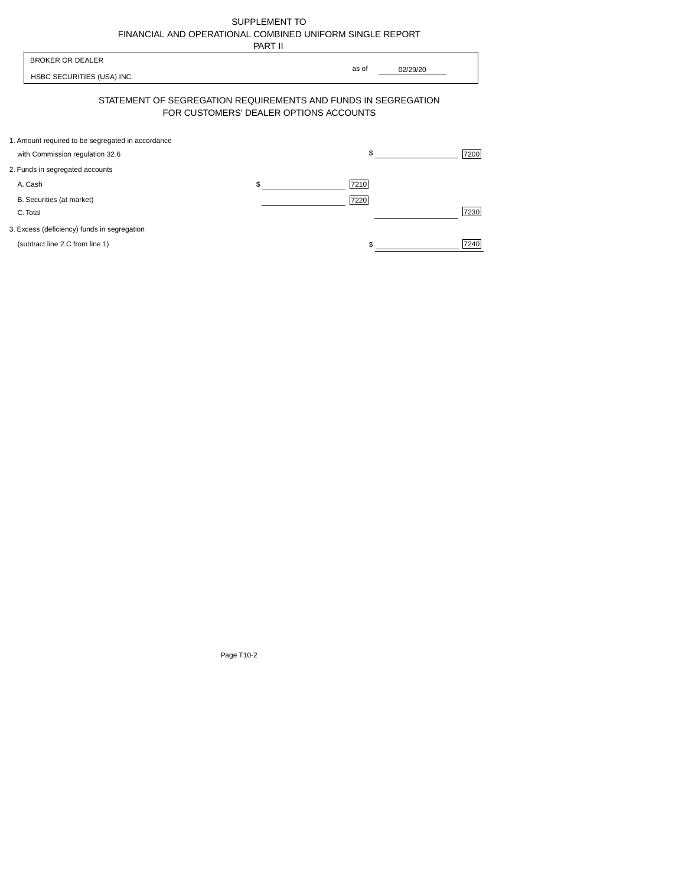| SUPPLEMENT TO                                            |
|----------------------------------------------------------|
| FINANCIAL AND OPERATIONAL COMBINED UNIFORM SINGLE REPORT |
| -----                                                    |

|                                                                                      | PART II                                                                                                  |
|--------------------------------------------------------------------------------------|----------------------------------------------------------------------------------------------------------|
| <b>BROKER OR DEALER</b><br>HSBC SECURITIES (USA) INC.                                | as of<br>02/29/20                                                                                        |
|                                                                                      | STATEMENT OF SEGREGATION REQUIREMENTS AND FUNDS IN SEGREGATION<br>FOR CUSTOMERS' DEALER OPTIONS ACCOUNTS |
| 1. Amount required to be segregated in accordance<br>with Commission regulation 32.6 | \$<br>7200                                                                                               |
| 2. Funds in segregated accounts                                                      |                                                                                                          |
| A. Cash                                                                              | 7210<br>\$                                                                                               |
| B. Securities (at market)<br>C. Total                                                | 7220<br>7230                                                                                             |
| 3. Excess (deficiency) funds in segregation                                          |                                                                                                          |
| (subtract line 2.C from line 1)                                                      | 7240                                                                                                     |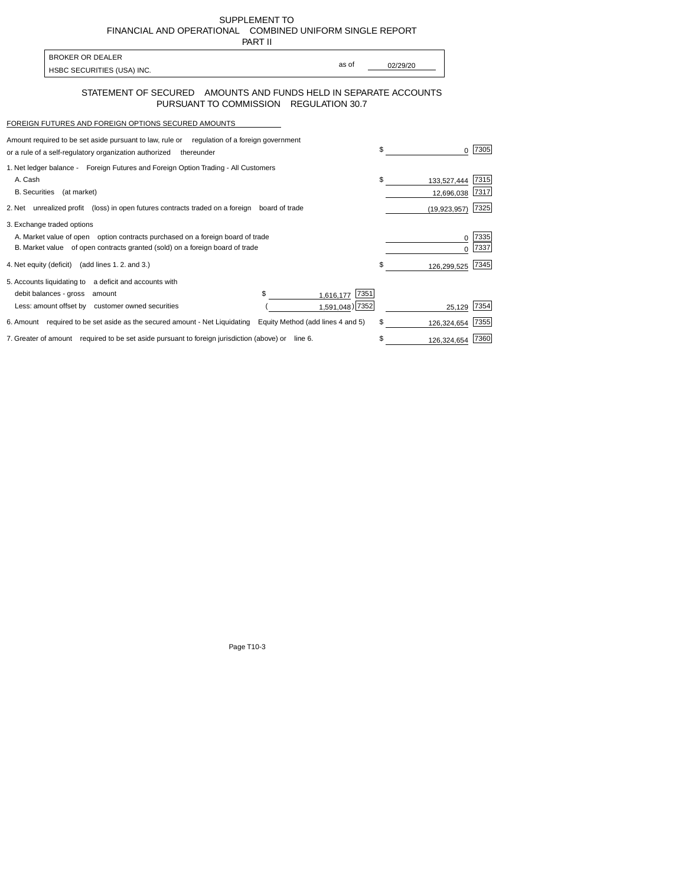SUPPLEMENT TO FINANCIALAND OPERATIONAL COMBINED UNIFORM SINGLE REPORT PART II

| 1 AB 11 |
|---------|
|         |

| <b>BROKER OR DEALER</b>    |       |          |
|----------------------------|-------|----------|
|                            | as of | 02/29/20 |
| HSBC SECURITIES (USA) INC. |       |          |

## STATEMENT OF SECURED AMOUNTS AND FUNDS HELD IN SEPARATE ACCOUNTS PURSUANT TO COMMISSION REGULATION 30.7

## FOREIGN FUTURES AND FOREIGN OPTIONS SECURED AMOUNTS

| Amount required to be set aside pursuant to law, rule or requiation of a foreign government       |                                   |      |                |      |
|---------------------------------------------------------------------------------------------------|-----------------------------------|------|----------------|------|
| or a rule of a self-regulatory organization authorized<br>thereunder                              |                                   | \$   |                | 7305 |
| 1. Net ledger balance - Foreign Futures and Foreign Option Trading - All Customers                |                                   |      |                |      |
| A. Cash                                                                                           |                                   | \$.  | 133,527,444    | 7315 |
| <b>B.</b> Securities<br>(at market)                                                               |                                   |      | 12,696,038     | 7317 |
| 2. Net unrealized profit (loss) in open futures contracts traded on a foreign                     | board of trade                    |      | (19, 923, 957) | 7325 |
| 3. Exchange traded options                                                                        |                                   |      |                |      |
| A. Market value of open option contracts purchased on a foreign board of trade                    |                                   |      | O              | 7335 |
| B. Market value of open contracts granted (sold) on a foreign board of trade                      |                                   |      |                | 7337 |
| 4. Net equity (deficit) (add lines 1.2. and 3.)                                                   |                                   | \$   | 126,299,525    | 7345 |
| 5. Accounts liquidating to a deficit and accounts with                                            |                                   |      |                |      |
| debit balances - gross<br>amount                                                                  | 1,616,177                         | 7351 |                |      |
| Less: amount offset by customer owned securities                                                  | 1,591,048) 7352                   |      | 25.129         | 7354 |
| 6. Amount required to be set aside as the secured amount - Net Liquidating                        | Equity Method (add lines 4 and 5) | \$   | 126,324,654    | 7355 |
| 7. Greater of amount required to be set aside pursuant to foreign jurisdiction (above) or line 6. |                                   | \$   | 126,324,654    | 7360 |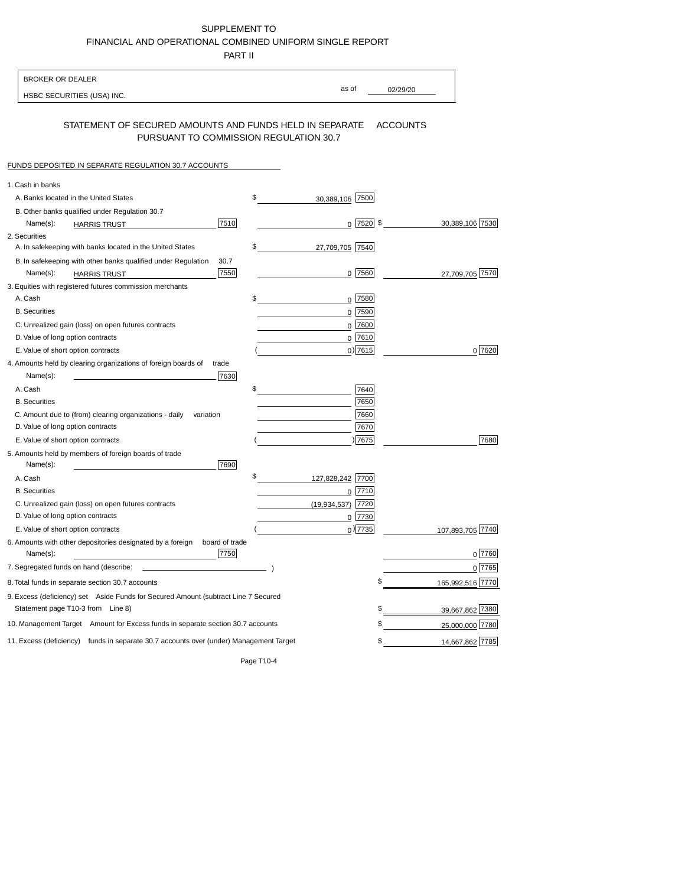SUPPLEMENT TO FINANCIALAND OPERATIONALCOMBINED UNIFORM SINGLE REPORT

PART II

| <b>BROKER OR DEALER</b>                                                                                  |                        |                   |                  |
|----------------------------------------------------------------------------------------------------------|------------------------|-------------------|------------------|
| HSBC SECURITIES (USA) INC.                                                                               |                        | as of<br>02/29/20 |                  |
| STATEMENT OF SECURED AMOUNTS AND FUNDS HELD IN SEPARATE<br>PURSUANT TO COMMISSION REGULATION 30.7        |                        | <b>ACCOUNTS</b>   |                  |
| FUNDS DEPOSITED IN SEPARATE REGULATION 30.7 ACCOUNTS                                                     |                        |                   |                  |
| 1. Cash in banks                                                                                         |                        |                   |                  |
| A. Banks located in the United States                                                                    | \$<br>30,389,106 7500  |                   |                  |
| B. Other banks qualified under Regulation 30.7                                                           |                        |                   |                  |
| 7510<br>Name(s):<br><b>HARRIS TRUST</b>                                                                  |                        | $0$ 7520 \$       | 30,389,106 7530  |
| 2. Securities                                                                                            |                        |                   |                  |
| A. In safekeeping with banks located in the United States                                                | \$<br>27,709,705 7540  |                   |                  |
| B. In safekeeping with other banks qualified under Regulation<br>30.7                                    |                        |                   |                  |
| 7550<br>Name(s):<br><b>HARRIS TRUST</b>                                                                  |                        | $0$ 7560          | 27,709,705 7570  |
| 3. Equities with registered futures commission merchants                                                 |                        |                   |                  |
| A. Cash                                                                                                  | \$                     | 0 7580            |                  |
| <b>B.</b> Securities                                                                                     |                        | 0 7590            |                  |
| C. Unrealized gain (loss) on open futures contracts                                                      |                        | 0 7600            |                  |
| D. Value of long option contracts                                                                        |                        | $0$ 7610          |                  |
| E. Value of short option contracts                                                                       |                        | $0)$ 7615         | 0 7620           |
| 4. Amounts held by clearing organizations of foreign boards of<br>trade                                  |                        |                   |                  |
| Name(s):<br>7630                                                                                         | \$                     |                   |                  |
| A. Cash<br><b>B.</b> Securities                                                                          |                        | 7640<br>7650      |                  |
|                                                                                                          |                        | 7660              |                  |
| C. Amount due to (from) clearing organizations - daily<br>variation<br>D. Value of long option contracts |                        | 7670              |                  |
| E. Value of short option contracts                                                                       |                        | ) 7675            | 7680             |
| 5. Amounts held by members of foreign boards of trade                                                    |                        |                   |                  |
| 7690<br>Name(s):                                                                                         |                        |                   |                  |
| A. Cash                                                                                                  | \$<br>127,828,242 7700 |                   |                  |
| <b>B.</b> Securities                                                                                     |                        | 0 7710            |                  |
| C. Unrealized gain (loss) on open futures contracts                                                      | (19, 934, 537)         | 7720              |                  |
| D. Value of long option contracts                                                                        |                        | 0 7730            |                  |
| E. Value of short option contracts                                                                       |                        | $_0)$ 7735        | 107,893,705 7740 |
| 6. Amounts with other depositories designated by a foreign<br>board of trade<br>7750<br>Name(s):         |                        |                   | 0 7760           |
| 7. Segregated funds on hand (describe:                                                                   |                        |                   | 07765            |
| 8. Total funds in separate section 30.7 accounts                                                         |                        | \$                | 165,992,516 7770 |
| 9. Excess (deficiency) set Aside Funds for Secured Amount (subtract Line 7 Secured                       |                        |                   |                  |
| Statement page T10-3 from Line 8)                                                                        |                        | \$                | 39,667,862 7380  |
| 10. Management Target Amount for Excess funds in separate section 30.7 accounts                          |                        | \$                | 25,000,000 7780  |
| 11. Excess (deficiency) funds in separate 30.7 accounts over (under) Management Target                   |                        | \$                | 14,667,862 7785  |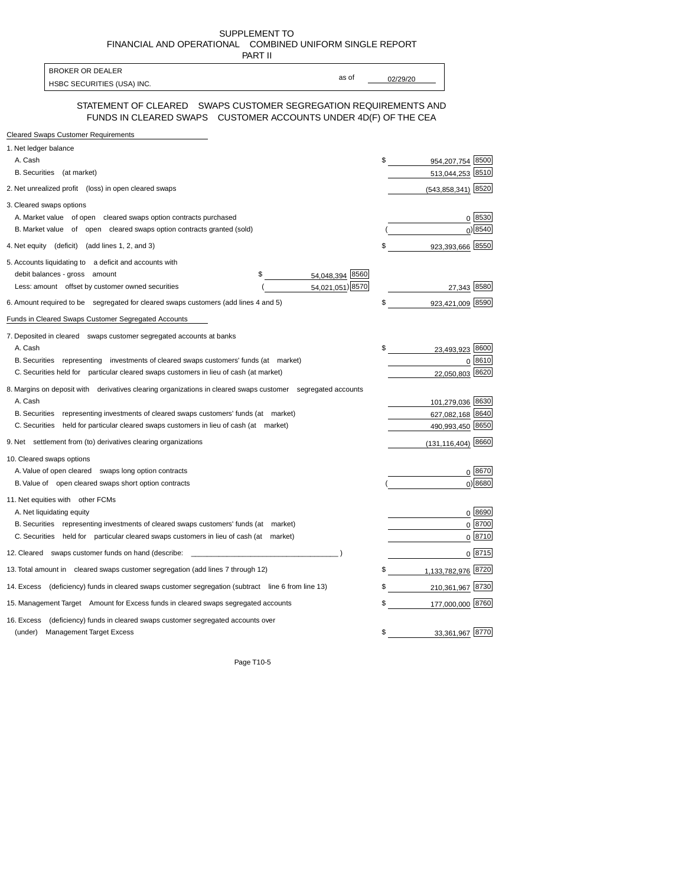SUPPLEMENT TO FINANCIALAND OPERATIONAL COMBINED UNIFORM SINGLE REPORT

| PART II                                                                                                                              |          |                        |            |
|--------------------------------------------------------------------------------------------------------------------------------------|----------|------------------------|------------|
| <b>BROKER OR DEALER</b><br>as of                                                                                                     |          |                        |            |
| HSBC SECURITIES (USA) INC.                                                                                                           | 02/29/20 |                        |            |
| STATEMENT OF CLEARED  SWAPS CUSTOMER SEGREGATION REQUIREMENTS AND<br>FUNDS IN CLEARED SWAPS CUSTOMER ACCOUNTS UNDER 4D(F) OF THE CEA |          |                        |            |
| <b>Cleared Swaps Customer Requirements</b>                                                                                           |          |                        |            |
| 1. Net ledger balance                                                                                                                |          |                        |            |
| A. Cash                                                                                                                              | \$       | 954,207,754 8500       |            |
| B. Securities (at market)                                                                                                            |          | 513,044,253 8510       |            |
| 2. Net unrealized profit (loss) in open cleared swaps                                                                                |          | $(543,858,341)$ 8520   |            |
| 3. Cleared swaps options                                                                                                             |          |                        |            |
| A. Market value of open cleared swaps option contracts purchased                                                                     |          |                        | 0 8530     |
| B. Market value of open cleared swaps option contracts granted (sold)                                                                |          |                        | 0 8540     |
| 4. Net equity (deficit) (add lines 1, 2, and 3)                                                                                      | \$       | 923,393,666 8550       |            |
| 5. Accounts liquidating to a deficit and accounts with                                                                               |          |                        |            |
| 54,048,394 8560<br>debit balances - gross amount<br>\$                                                                               |          |                        |            |
| 54,021,051) 8570<br>Less: amount offset by customer owned securities                                                                 |          | 27,343 8580            |            |
| 6. Amount required to be segregated for cleared swaps customers (add lines 4 and 5)                                                  | \$       | 923,421,009            | 8590       |
| Funds in Cleared Swaps Customer Segregated Accounts                                                                                  |          |                        |            |
| 7. Deposited in cleared swaps customer segregated accounts at banks                                                                  |          |                        |            |
| A. Cash                                                                                                                              | \$       | 23,493,923 8600        |            |
| B. Securities representing investments of cleared swaps customers' funds (at market)                                                 |          |                        | 0 8610     |
| C. Securities held for particular cleared swaps customers in lieu of cash (at market)                                                |          | 22,050,803 8620        |            |
| 8. Margins on deposit with derivatives clearing organizations in cleared swaps customer segregated accounts                          |          |                        |            |
| A. Cash                                                                                                                              |          | 101,279,036 8630       |            |
| B. Securities representing investments of cleared swaps customers' funds (at market)                                                 |          | 627,082,168 8640       |            |
| C. Securities held for particular cleared swaps customers in lieu of cash (at market)                                                |          | 490,993,450 8650       |            |
| 9. Net settlement from (to) derivatives clearing organizations                                                                       |          | $(131, 116, 404)$ 8660 |            |
| 10. Cleared swaps options                                                                                                            |          |                        |            |
| A. Value of open cleared swaps long option contracts                                                                                 |          |                        | 0 8670     |
| B. Value of open cleared swaps short option contracts                                                                                |          |                        | 0 8680     |
| 11. Net equities with other FCMs                                                                                                     |          |                        |            |
| A. Net liquidating equity                                                                                                            |          |                        | 0 8690     |
| B. Securities representing investments of cleared swaps customers' funds (at market)                                                 |          |                        | $0^{8700}$ |
| C. Securities held for particular cleared swaps customers in lieu of cash (at market)                                                |          |                        | 0 8710     |
| 12. Cleared swaps customer funds on hand (describe:                                                                                  |          |                        | 0 8715     |
| 13. Total amount in cleared swaps customer segregation (add lines 7 through 12)                                                      | \$       | 1,133,782,976 8720     |            |
| 14. Excess (deficiency) funds in cleared swaps customer segregation (subtract line 6 from line 13)                                   | \$       | 210,361,967 8730       |            |
| 15. Management Target Amount for Excess funds in cleared swaps segregated accounts                                                   | \$       | 177,000,000 8760       |            |
| 16. Excess<br>(deficiency) funds in cleared swaps customer segregated accounts over                                                  |          |                        |            |
| <b>Management Target Excess</b><br>(under)                                                                                           | \$       | 33,361,967 8770        |            |
|                                                                                                                                      |          |                        |            |